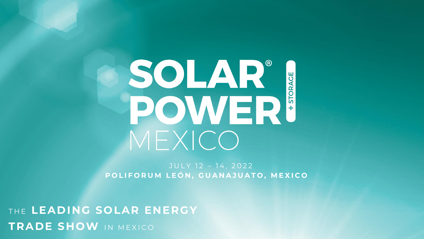## SOLAR® **SOLAR** MEXICO

JULY 12 - 14, 2022 POLIFORUM LEÓN, GUANAJUATO, MEXICO

THE LEADING SOLAR ENERGY TRADE SHOW IN MEXICO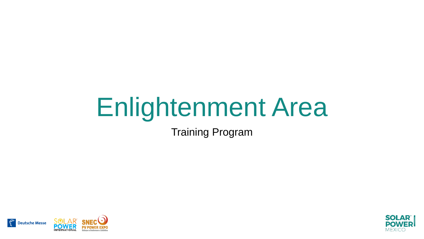Training Program



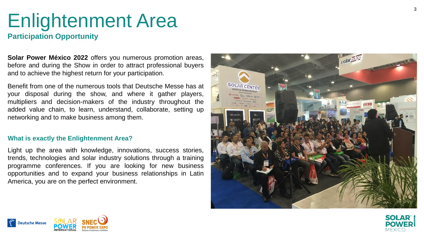### **Participation Opportunity**

**Solar Power México 2022** offers you numerous promotion areas, before and during the Show in order to attract professional buyers and to achieve the highest return for your participation .

Benefit from one of the numerous tools that Deutsche Messe has at your disposal during the show, and where it gather players, multipliers and decision -makers of the industry throughout the added value chain, to learn, understand, collaborate, setting up networking and to make business among them .

#### **What is exactly the Enlightenment Area?**

Light up the area with knowledge, innovations, success stories, trends, technologies and solar industry solutions through a training programme conferences . If you are looking for new business opportunities and to expand your business relationships in Latin America, you are on the perfect environment .





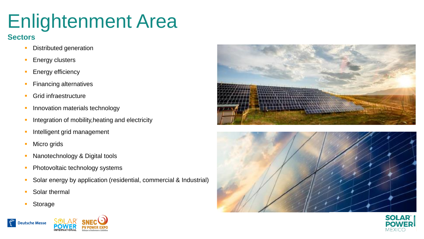### **Sectors**

- **Distributed generation**
- **Energy clusters**
- **Energy efficiency**
- **Financing alternatives**
- **Grid infraestructure**
- Innovation materials technology
- Integration of mobility, heating and electricity
- Intelligent grid management
- Micro grids
- Nanotechnology & Digital tools
- Photovoltaic technology systems
- Solar energy by application (residential, commercial & Industrial)
- Solar thermal
- **Storage**







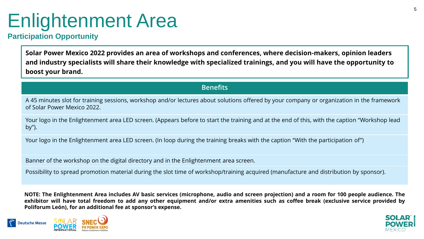### **Participation Opportunity**

**Solar Power Mexico 2022 provides an area of workshops and conferences, where decision-makers, opinion leaders and industry specialists will share their knowledge with specialized trainings, and you will have the opportunity to boost your brand.** 

#### **Benefits**

A 45 minutes slot for training sessions, workshop and/or lectures about solutions offered by your company or organization in the framework of Solar Power Mexico 2022.

Your logo in the Enlightenment area LED screen. (Appears before to start the training and at the end of this, with the caption "Workshop lead by").

Your logo in the Enlightenment area LED screen. (In loop during the training breaks with the caption "With the participation of")

Banner of the workshop on the digital directory and in the Enlightenment area screen.

Possibility to spread promotion material during the slot time of workshop/training acquired (manufacture and distribution by sponsor).

NOTE: The Enlightenment Area includes AV basic services (microphone, audio and screen projection) and a room for 100 people audience. The exhibitor will have total freedom to add any other equipment and/or extra amenities such as coffee break (exclusive service provided by **Poliforum León), for an additional fee at sponsor's expense.**



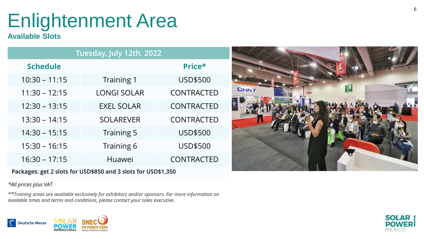### **Available Slots**

| Tuesday, July 12th, 2022 |                    |                   |  |
|--------------------------|--------------------|-------------------|--|
| <b>Schedule</b>          |                    | Price*            |  |
| $10:30 - 11:15$          | Training 1         | <b>USD\$500</b>   |  |
| $11:30 - 12:15$          | <b>LONGI SOLAR</b> | <b>CONTRACTED</b> |  |
| $12:30 - 13:15$          | <b>EXEL SOLAR</b>  | <b>CONTRACTED</b> |  |
| $13:30 - 14:15$          | <b>SOLAREVER</b>   | <b>CONTRACTED</b> |  |
| $14:30 - 15:15$          | Training 5         | <b>USD\$500</b>   |  |
| $15:30 - 16:15$          | Training 6         | <b>USD\$500</b>   |  |
| $16:30 - 17:15$          | Huawei             | <b>CONTRACTED</b> |  |

**Packages: get 2 slots for USD\$850 and 3 slots for USD\$1,350**

*\*All prices plus VAT*

*\*\*Training areas are available exclusively for exhibitors and/or sponsors. For more information on available times and terms and conditions, please contact your sales executive .*





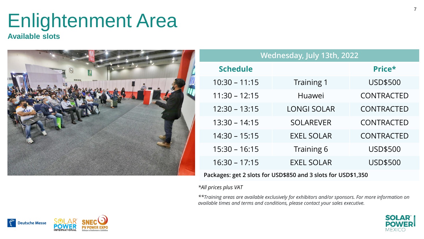#### **Available slots**



| Wednesday, July 13th, 2022                                    |                    |                   |  |  |
|---------------------------------------------------------------|--------------------|-------------------|--|--|
| <b>Schedule</b>                                               |                    | Price*            |  |  |
| $10:30 - 11:15$                                               | Training 1         | <b>USD\$500</b>   |  |  |
| $11:30 - 12:15$                                               | Huawei             | <b>CONTRACTED</b> |  |  |
| $12:30 - 13:15$                                               | <b>LONGI SOLAR</b> | <b>CONTRACTED</b> |  |  |
| $13:30 - 14:15$                                               | <b>SOLAREVER</b>   | <b>CONTRACTED</b> |  |  |
| $14:30 - 15:15$                                               | <b>EXEL SOLAR</b>  | <b>CONTRACTED</b> |  |  |
| $15:30 - 16:15$                                               | Training 6         | <b>USD\$500</b>   |  |  |
| $16:30 - 17:15$                                               | <b>EXEL SOLAR</b>  | <b>USD\$500</b>   |  |  |
| Packages: get 2 slots for USD\$850 and 3 slots for USD\$1,350 |                    |                   |  |  |

#### *\*All prices plus VAT*

*\*\*Training areas are available exclusively for exhibitors and/or sponsors. For more information on available times and terms and conditions, please contact your sales executive.*



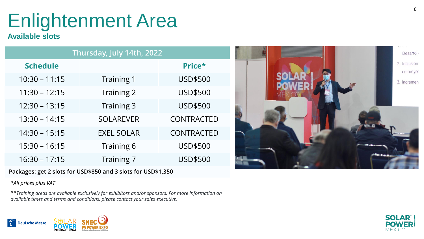### **Available slots**

| Thursday, July 14th, 2022 |                   |                   |  |  |
|---------------------------|-------------------|-------------------|--|--|
| <b>Schedule</b>           |                   | Price*            |  |  |
| $10:30 - 11:15$           | Training 1        | <b>USD\$500</b>   |  |  |
| $11:30 - 12:15$           | Training 2        | <b>USD\$500</b>   |  |  |
| $12:30 - 13:15$           | Training 3        | <b>USD\$500</b>   |  |  |
| $13:30 - 14:15$           | <b>SOLAREVER</b>  | <b>CONTRACTED</b> |  |  |
| $14:30 - 15:15$           | <b>EXEL SOLAR</b> | <b>CONTRACTED</b> |  |  |
| $15:30 - 16:15$           | Training 6        | <b>USD\$500</b>   |  |  |
| $16:30 - 17:15$           | Training 7        | <b>USD\$500</b>   |  |  |

#### **Packages: get 2 slots for USD\$850 and 3 slots for USD\$1,350**

*\*All prices plus VAT*

*\*\*Training areas are available exclusively for exhibitors and/or sponsors. For more information on available times and terms and conditions, please contact your sales executive .*